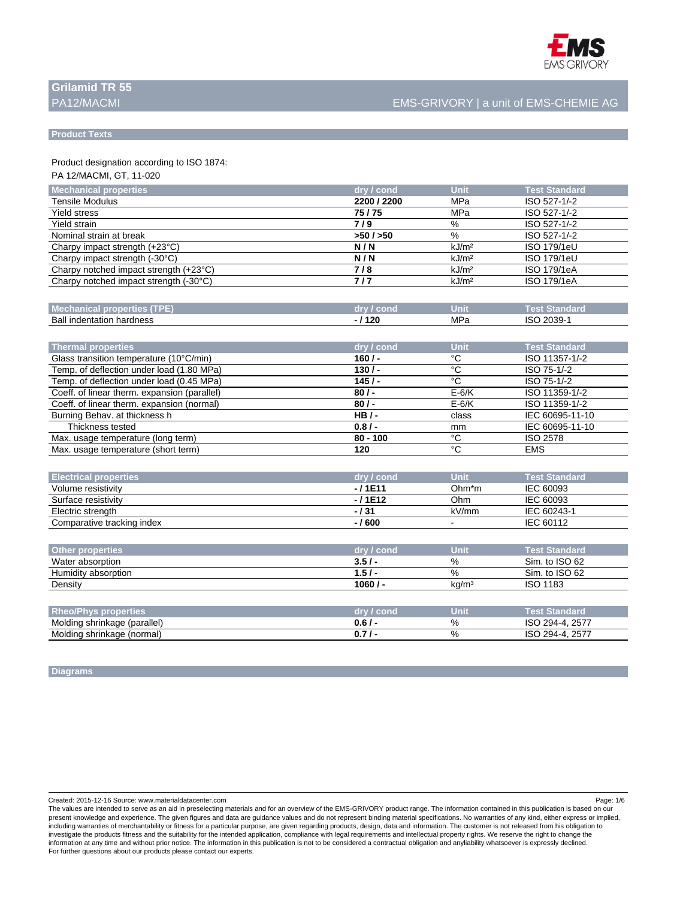

# **Grilamid TR 55**

# PA12/MACMI EMS-GRIVORY | a unit of EMS-CHEMIE AG

#### **Product Texts**

Product designation according to ISO 1874:

PA 12/MACMI, GT, 11-020

| Mechanical properties                   | dry / cond  | <b>Unit</b>       | <b>Test Standard</b> |
|-----------------------------------------|-------------|-------------------|----------------------|
| Tensile Modulus                         | 2200 / 2200 | MPa               | ISO 527-1/-2         |
| <b>Yield stress</b>                     | 75/75       | MPa               | ISO 527-1/-2         |
| Yield strain                            | 7/9         | %                 | ISO 527-1/-2         |
| Nominal strain at break                 | >50/50      | %                 | ISO 527-1/-2         |
| Charpy impact strength $(+23^{\circ}C)$ | N/N         | kJ/m <sup>2</sup> | ISO 179/1eU          |
| Charpy impact strength $(-30^{\circ}C)$ | N/N         | kJ/m <sup>2</sup> | <b>ISO 179/1eU</b>   |
| Charpy notched impact strength (+23°C)  | 718         | kJ/m <sup>2</sup> | ISO 179/1eA          |
| Charpy notched impact strength (-30°C)  | 717         | kJ/m <sup>2</sup> | ISO 179/1eA          |
|                                         |             |                   |                      |

| ≡धस्<br>unaniuan                  | __<br>יו וגי | <b>Uni</b> | iaro                                   |
|-----------------------------------|--------------|------------|----------------------------------------|
| Ball<br>hardness<br>a indentation | 120<br>14 J  | MPa        | 0000<br>IS <sub>C</sub><br>ร.<br>. 000 |

| Thermal properties                           | dry / cond | Unit    | <b>Test Standard</b> |
|----------------------------------------------|------------|---------|----------------------|
| Glass transition temperature (10°C/min)      | $160/$ -   | °C      | ISO 11357-1/-2       |
| Temp. of deflection under load (1.80 MPa)    | $130/-$    | °C      | ISO 75-1/-2          |
| Temp. of deflection under load (0.45 MPa)    | 145/       | °C      | ISO 75-1/-2          |
| Coeff. of linear therm. expansion (parallel) | $80/$ -    | $E-6/K$ | ISO 11359-1/-2       |
| Coeff. of linear therm. expansion (normal)   | $80/$ -    | $E-6/K$ | ISO 11359-1/-2       |
| Burning Behav. at thickness h                | $HB/-$     | class   | IEC 60695-11-10      |
| Thickness tested                             | $0.8/$ -   | mm      | IEC 60695-11-10      |
| Max. usage temperature (long term)           | $80 - 100$ | °۲      | ISO 2578             |
| Max. usage temperature (short term)          | 120        | °C      | <b>EMS</b>           |

| <b>Electrical properties</b> | dry / cond | <b>Unit</b> | <b>Test Standard</b> |
|------------------------------|------------|-------------|----------------------|
| Volume resistivity           | -/1E11     | Ohm*m       | IEC 60093            |
| Surface resistivity          | -/1E12     | Ohm         | IEC 60093            |
| Electric strength            | $-131$     | kV/mm       | IEC 60243-1          |
| Comparative tracking index   | $-1600$    | $\sim$      | IEC 60112            |

| <b>Other properties</b>     | dry / cond | Unit              | <b>Test Standard</b> ا |  |
|-----------------------------|------------|-------------------|------------------------|--|
| Water absorption            | 3.5/       | %                 | Sim. to ISO 62         |  |
| Humidity absorption         | 1.5/       | %                 | Sim. to ISO 62         |  |
| Density                     | $1060/$ -  | kg/m <sup>3</sup> | <b>ISO 1183</b>        |  |
|                             |            |                   |                        |  |
| <b>Rhan/Phys proportias</b> | dry / cond | l Init            | Tast Standard          |  |

| Rheo/<br>properties'<br><b>DESCRIPTION</b> | r conc<br>ОN | Unit | Test Standarc         |
|--------------------------------------------|--------------|------|-----------------------|
| (parallel)<br>Moldina<br>shrinkaqe (,      | 0.6          | %    | 2577<br>ISC<br>$201-$ |
| Molding<br>shrinkage (normal)              |              | %    | 2577                  |

#### **Diagrams**

Created: 2015-12-16 Source: www.materialdatacenter.com Page: 1/6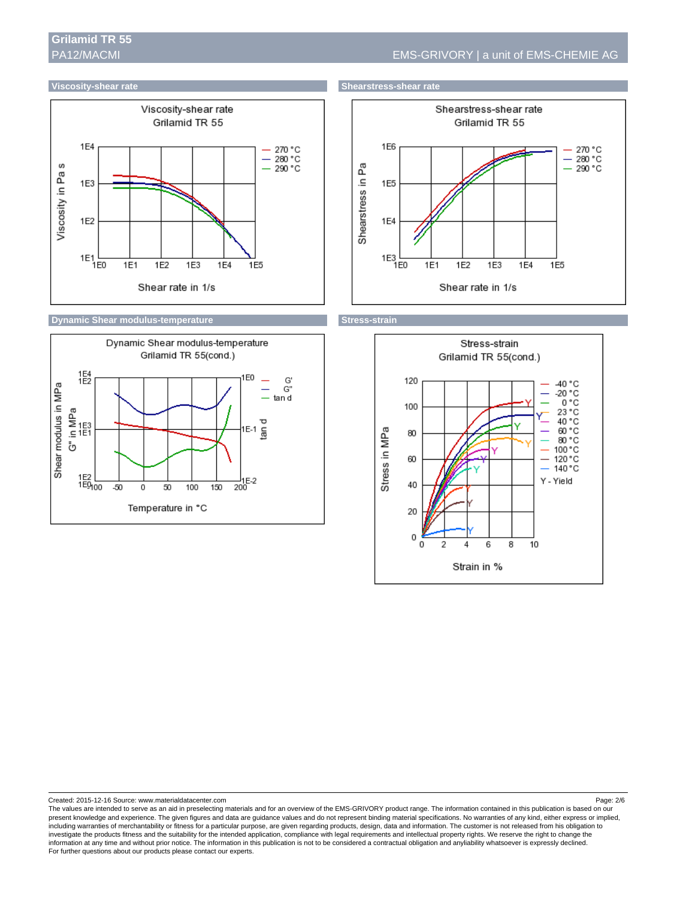### **Viscosity-shear rate** Shearstress-shear rate Shearstress-shear rate



### **Dynamic Shear modulus-temperature Stress-strain and Stress-strain**









Created: 2015-12-16 Source: www.materialdatacenter.com Page: 2/6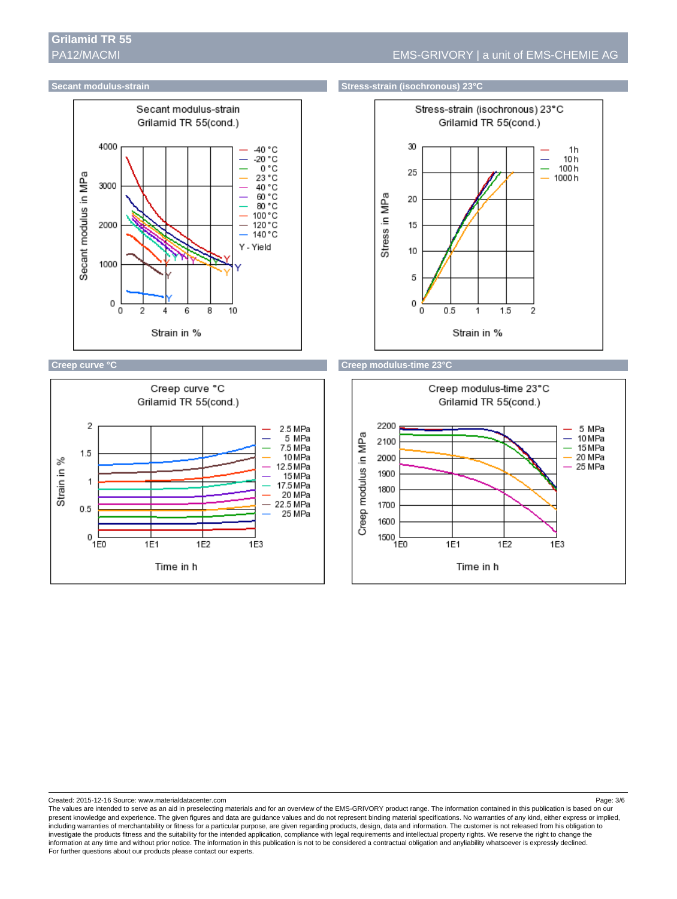



### **Secant modulus-strain Stress-strain Stress-strain (isochronous) 23°C**







Created: 2015-12-16 Source: www.materialdatacenter.com Page: 3/6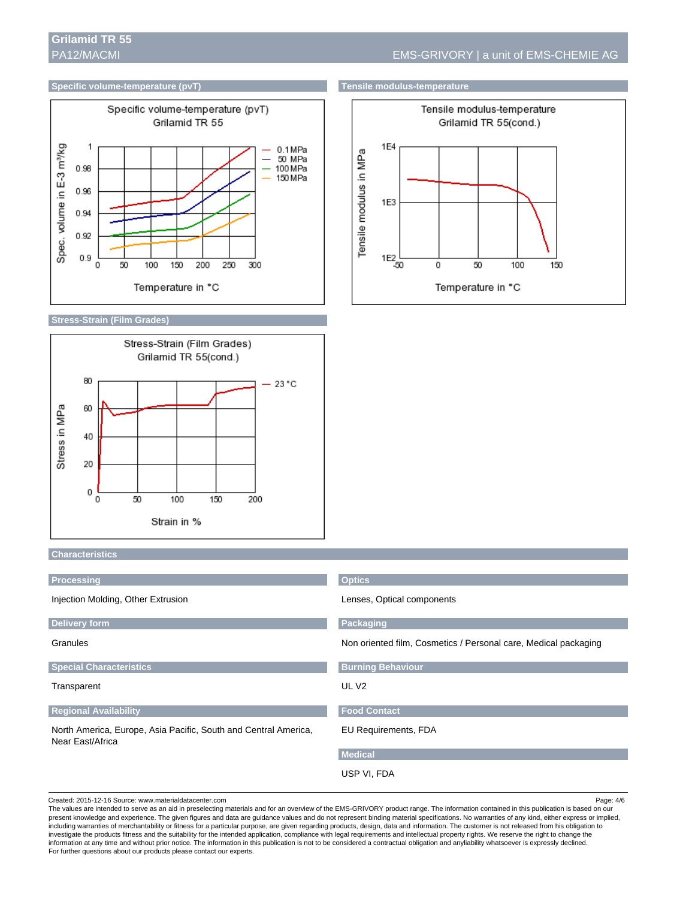### **Specific volume-temperature (pvT)** Tensile modulus-temperature



#### **Stress-Strain (Film Grades)**





#### **Characteristics**

| Processing                                                                          | <b>Optics</b>                                                   |  |
|-------------------------------------------------------------------------------------|-----------------------------------------------------------------|--|
| Injection Molding, Other Extrusion                                                  | Lenses, Optical components                                      |  |
| <b>Delivery form</b>                                                                | Packaging                                                       |  |
| Granules                                                                            | Non oriented film, Cosmetics / Personal care, Medical packaging |  |
| <b>Special Characteristics</b>                                                      | <b>Burning Behaviour</b>                                        |  |
| Transparent                                                                         | UL V <sub>2</sub>                                               |  |
| <b>Regional Availability</b>                                                        | <b>Food Contact</b>                                             |  |
| North America, Europe, Asia Pacific, South and Central America,<br>Near East/Africa | <b>EU Requirements, FDA</b>                                     |  |
|                                                                                     | <b>Medical</b>                                                  |  |
|                                                                                     | USP VI, FDA                                                     |  |

Created: 2015-12-16 Source: www.materialdatacenter.com Page: 4/6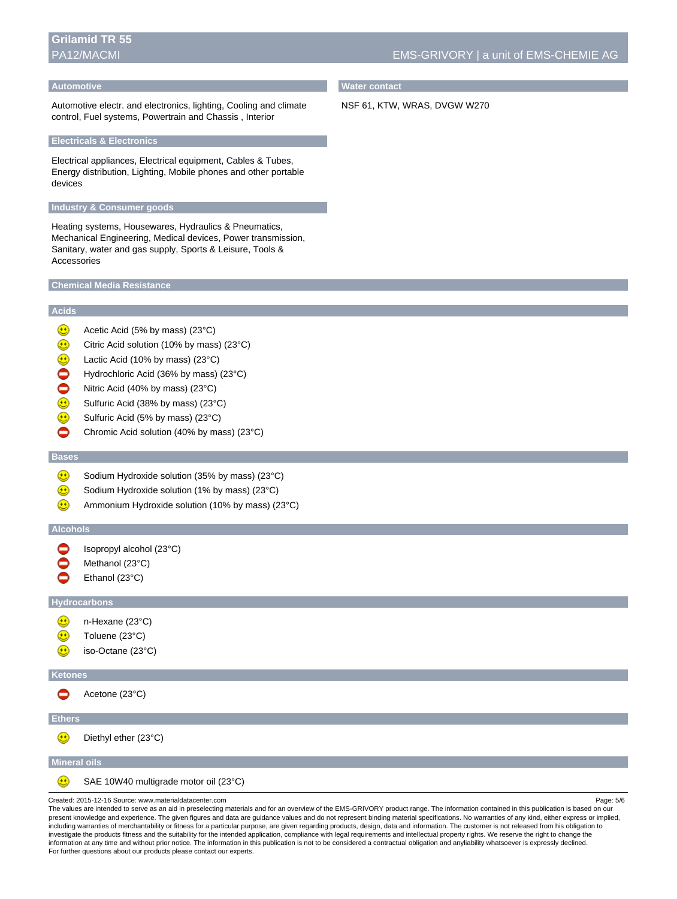# **Grilamid TR 55**

#### **Automotive**

Automotive electr. and electronics, lighting, Cooling and climate control, Fuel systems, Powertrain and Chassis , Interior

#### **Electricals & Electronics**

Electrical appliances, Electrical equipment, Cables & Tubes, Energy distribution, Lighting, Mobile phones and other portable devices

#### **Industry & Consumer goods**

Heating systems, Housewares, Hydraulics & Pneumatics, Mechanical Engineering, Medical devices, Power transmission, Sanitary, water and gas supply, Sports & Leisure, Tools & Accessories

#### **Chemical Media Resistance**

#### **Acids**

- $\bigcirc$ Acetic Acid (5% by mass) (23°C)
- ⊕ Citric Acid solution (10% by mass) (23°C)
- ⊕ Lactic Acid (10% by mass) (23°C)
- 0 Hydrochloric Acid (36% by mass) (23°C)
- $\bullet$ Nitric Acid (40% by mass) (23°C)
- $\textcircled{\scriptsize{1}}$ Sulfuric Acid (38% by mass) (23°C)
- $\bigcirc$ Sulfuric Acid (5% by mass) (23°C)
- ◓ Chromic Acid solution (40% by mass) (23°C)

# **Bases**

- $\bigcirc$ Sodium Hydroxide solution (35% by mass) (23°C)
- ⋒ Sodium Hydroxide solution (1% by mass) (23°C)
- Ammonium Hydroxide solution (10% by mass) (23°C)  $(\cdot)$

#### **Alcohols**

- ◓ Isopropyl alcohol (23°C)
- Methanol (23°C)
- Ethanol (23°C)

#### **Hydrocarbons**

- n-Hexane (23°C)
- Toluene (23°C)
- iso-Octane (23°C) ⊕

#### **Ketones**

◓ Acetone (23°C)

### **Ethers**

 $\bigcirc$ 

 $\bigcirc$ Diethyl ether (23°C)

#### **Mineral oils**

SAE 10W40 multigrade motor oil (23°C)

Created: 2015-12-16 Source: www.materialdatacenter.com Page: 5/6

The values are intended to serve as an aid in preselecting materials and for an overview of the EMS-GRIVORY product range. The information contained in this publication is based on our present knowledge and experience. The given figures and data are guidance values and do not represent binding material specifications. No warranties of any kind, either express or implied, including warranties of merchantability or fitness for a particular purpose, are given regarding products, design, data and information. The customer is not released from his obligation to investigate the products fitness and the suitability for the intended application, compliance with legal requirements and intellectual property rights. We reserve the right to change the information at any time and without prior notice. The information in this publication is not to be considered a contractual obligation and anyliability whatsoever is expressly declined. For further questions about our products please contact our experts.

## **Water contact**

NSF 61, KTW, WRAS, DVGW W270